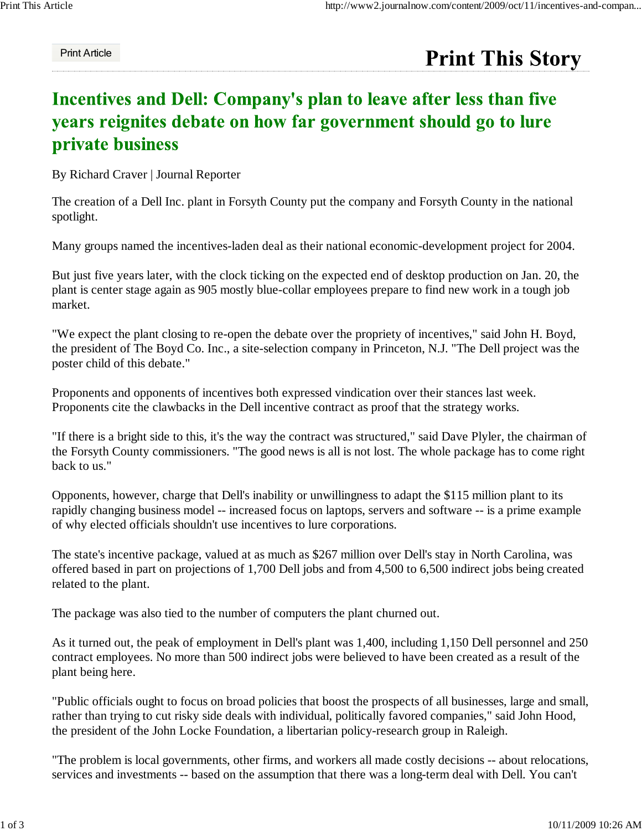## Print Article

## **Print This Story**

## Incentives and Dell: Company's plan to leave after less than five years reignites debate on how far government should go to lure private business

By Richard Craver | Journal Reporter

The creation of a Dell Inc. plant in Forsyth County put the company and Forsyth County in the national spotlight.

Many groups named the incentives-laden deal as their national economic-development project for 2004.

But just five years later, with the clock ticking on the expected end of desktop production on Jan. 20, the plant is center stage again as 905 mostly blue-collar employees prepare to find new work in a tough job market.

"We expect the plant closing to re-open the debate over the propriety of incentives," said John H. Boyd, the president of The Boyd Co. Inc., a site-selection company in Princeton, N.J. "The Dell project was the poster child of this debate."

Proponents and opponents of incentives both expressed vindication over their stances last week. Proponents cite the clawbacks in the Dell incentive contract as proof that the strategy works.

"If there is a bright side to this, it's the way the contract was structured," said Dave Plyler, the chairman of the Forsyth County commissioners. "The good news is all is not lost. The whole package has to come right back to us."

Opponents, however, charge that Dell's inability or unwillingness to adapt the \$115 million plant to its rapidly changing business model -- increased focus on laptops, servers and software -- is a prime example of why elected officials shouldn't use incentives to lure corporations.

The state's incentive package, valued at as much as \$267 million over Dell's stay in North Carolina, was offered based in part on projections of 1,700 Dell jobs and from 4,500 to 6,500 indirect jobs being created related to the plant.

The package was also tied to the number of computers the plant churned out.

As it turned out, the peak of employment in Dell's plant was 1,400, including 1,150 Dell personnel and 250 contract employees. No more than 500 indirect jobs were believed to have been created as a result of the plant being here.

"Public officials ought to focus on broad policies that boost the prospects of all businesses, large and small, rather than trying to cut risky side deals with individual, politically favored companies," said John Hood, the president of the John Locke Foundation, a libertarian policy-research group in Raleigh.

"The problem is local governments, other firms, and workers all made costly decisions -- about relocations, services and investments -- based on the assumption that there was a long-term deal with Dell. You can't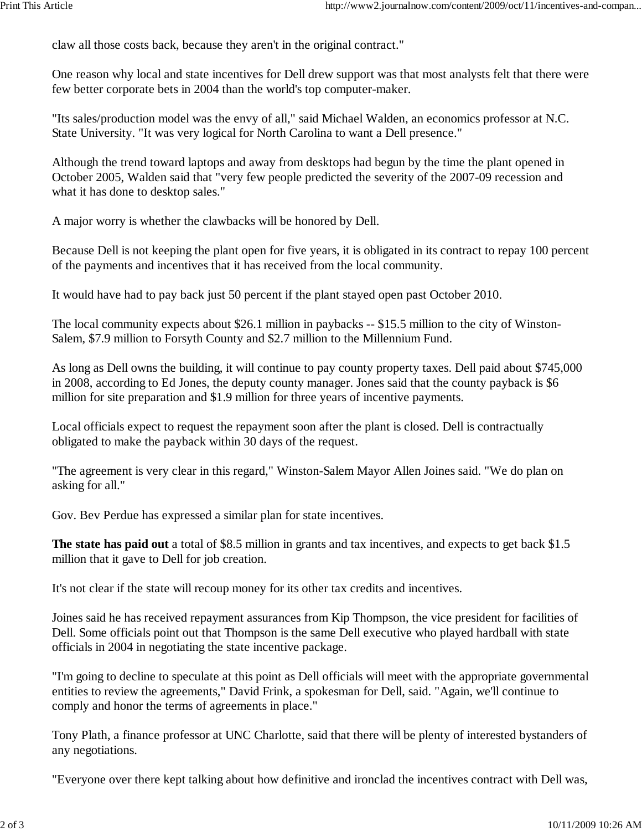claw all those costs back, because they aren't in the original contract."

One reason why local and state incentives for Dell drew support was that most analysts felt that there were few better corporate bets in 2004 than the world's top computer-maker.

"Its sales/production model was the envy of all," said Michael Walden, an economics professor at N.C. State University. "It was very logical for North Carolina to want a Dell presence."

Although the trend toward laptops and away from desktops had begun by the time the plant opened in October 2005, Walden said that "very few people predicted the severity of the 2007-09 recession and what it has done to desktop sales."

A major worry is whether the clawbacks will be honored by Dell.

Because Dell is not keeping the plant open for five years, it is obligated in its contract to repay 100 percent of the payments and incentives that it has received from the local community.

It would have had to pay back just 50 percent if the plant stayed open past October 2010.

The local community expects about \$26.1 million in paybacks -- \$15.5 million to the city of Winston-Salem, \$7.9 million to Forsyth County and \$2.7 million to the Millennium Fund.

As long as Dell owns the building, it will continue to pay county property taxes. Dell paid about \$745,000 in 2008, according to Ed Jones, the deputy county manager. Jones said that the county payback is \$6 million for site preparation and \$1.9 million for three years of incentive payments.

Local officials expect to request the repayment soon after the plant is closed. Dell is contractually obligated to make the payback within 30 days of the request.

"The agreement is very clear in this regard," Winston-Salem Mayor Allen Joines said. "We do plan on asking for all."

Gov. Bev Perdue has expressed a similar plan for state incentives.

**The state has paid out** a total of \$8.5 million in grants and tax incentives, and expects to get back \$1.5 million that it gave to Dell for job creation.

It's not clear if the state will recoup money for its other tax credits and incentives.

Joines said he has received repayment assurances from Kip Thompson, the vice president for facilities of Dell. Some officials point out that Thompson is the same Dell executive who played hardball with state officials in 2004 in negotiating the state incentive package.

"I'm going to decline to speculate at this point as Dell officials will meet with the appropriate governmental entities to review the agreements," David Frink, a spokesman for Dell, said. "Again, we'll continue to comply and honor the terms of agreements in place."

Tony Plath, a finance professor at UNC Charlotte, said that there will be plenty of interested bystanders of any negotiations.

"Everyone over there kept talking about how definitive and ironclad the incentives contract with Dell was,